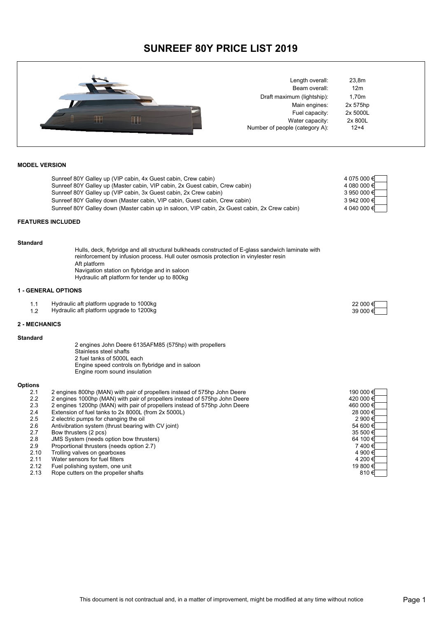# **SUNREEF 80Y PRICE LIST 2019**



| Length overall:                |
|--------------------------------|
| Beam overall:                  |
| Draft maximum (lightship):     |
| Main engines:                  |
| Fuel capacity:                 |
| Water capacity:                |
| Number of people (category A): |

23,8m  $12m$  $1,70m$ 2x 575hp 2x 5000L 2x 800L  $12+4$ 

# **MODEL VERSION**

|                      | Sunreef 80Y Galley up (VIP cabin, 4x Guest cabin, Crew cabin)                                                                                                                                                                                              | 4 075 000 € |
|----------------------|------------------------------------------------------------------------------------------------------------------------------------------------------------------------------------------------------------------------------------------------------------|-------------|
|                      | Sunreef 80Y Galley up (Master cabin, VIP cabin, 2x Guest cabin, Crew cabin)                                                                                                                                                                                | 4 080 000 € |
|                      | Sunreef 80Y Galley up (VIP cabin, 3x Guest cabin, 2x Crew cabin)                                                                                                                                                                                           | 3 950 000 € |
|                      | Sunreef 80Y Galley down (Master cabin, VIP cabin, Guest cabin, Crew cabin)                                                                                                                                                                                 | 3 942 000 € |
|                      | Sunreef 80Y Galley down (Master cabin up in saloon, VIP cabin, 2x Guest cabin, 2x Crew cabin)                                                                                                                                                              | 4 040 000 € |
|                      | <b>FEATURES INCLUDED</b>                                                                                                                                                                                                                                   |             |
| <b>Standard</b>      |                                                                                                                                                                                                                                                            |             |
|                      | Hulls, deck, flybridge and all structural bulkheads constructed of E-glass sandwich laminate with<br>reinforcement by infusion process. Hull outer osmosis protection in vinylester resin<br>Aft platform<br>Navigation station on flybridge and in saloon |             |
|                      | Hydraulic aft platform for tender up to 800kg                                                                                                                                                                                                              |             |
|                      | <b>1 - GENERAL OPTIONS</b>                                                                                                                                                                                                                                 |             |
| 1.1                  | Hydraulic aft platform upgrade to 1000kg                                                                                                                                                                                                                   | 22 000 €    |
| 1.2                  | Hydraulic aft platform upgrade to 1200kg                                                                                                                                                                                                                   | 39 000€     |
| <b>2 - MECHANICS</b> |                                                                                                                                                                                                                                                            |             |
| <b>Standard</b>      |                                                                                                                                                                                                                                                            |             |
|                      | 2 engines John Deere 6135AFM85 (575hp) with propellers<br>Stainless steel shafts                                                                                                                                                                           |             |
|                      | 2 fuel tanks of 5000L each                                                                                                                                                                                                                                 |             |
|                      | Engine speed controls on flybridge and in saloon<br>Engine room sound insulation                                                                                                                                                                           |             |
|                      |                                                                                                                                                                                                                                                            |             |
| <b>Options</b>       |                                                                                                                                                                                                                                                            |             |
| 2.1                  | 2 engines 800hp (MAN) with pair of propellers instead of 575hp John Deere                                                                                                                                                                                  | 190 000 €   |
| 2.2                  | 2 engines 1000hp (MAN) with pair of propellers instead of 575hp John Deere                                                                                                                                                                                 | 420 000 €   |
| 2.3                  | 2 engines 1200hp (MAN) with pair of propellers instead of 575hp John Deere                                                                                                                                                                                 | 460 000 €   |
| 2.4                  | Extension of fuel tanks to 2x 8000L (from 2x 5000L)                                                                                                                                                                                                        | 28 000 €    |
| 2.5                  | 2 electric pumps for changing the oil                                                                                                                                                                                                                      | 2 900 €     |
| 2.6                  | Antivibration system (thrust bearing with CV joint)                                                                                                                                                                                                        | 54 600 €    |
| 2.7                  | Bow thrusters (2 pcs)                                                                                                                                                                                                                                      | 35 500 €    |
| 2.8                  | JMS System (needs option bow thrusters)                                                                                                                                                                                                                    | 64 100 €    |

- 2.9 Proportional thrusters (needs option 2.7) 2.10 Trolling valves on gearboxes 2.11 Water sensors for fuel filters
- 2.12 Fuel polishing system, one unit
- 2.12 Fuel polishing system, one unit 19 800  $\epsilon$ <br>
2.13 Rope cutters on the propeller shafts 810  $\epsilon$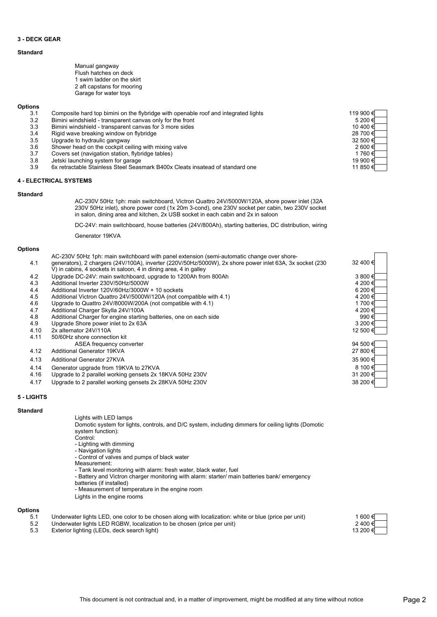## **3 - DECK GEAR**

# **Standard**

| Manual gangway             |
|----------------------------|
| Flush hatches on deck      |
| 1 swim ladder on the skirt |
| 2 aft capstans for mooring |
| Garage for water toys      |

#### **Options**

| 3.1 | Composite hard top bimini on the flybridge with openable roof and integrated lights | 119 900 € |
|-----|-------------------------------------------------------------------------------------|-----------|
| 3.2 | Bimini windshield - transparent canvas only for the front                           | 5 200 €   |
| 3.3 | Bimini windshield - transparent canvas for 3 more sides                             | 10 400 €  |
| 3.4 | Rigid wave breaking window on flybridge                                             | 28 700 €  |
| 3.5 | Upgrade to hydraulic gangway                                                        | 32 500 €  |
| 3.6 | Shower head on the cockpit ceiling with mixing valve                                | 2 600 €   |
| 3.7 | Covers set (navigation station, flybridge tables)                                   | 1 760 €   |
| 3.8 | Jetski launching system for garage                                                  | 19 900 €  |
| 3.9 | 6x retractable Stainless Steel Seasmark B400x Cleats insatead of standard one       | 11 850 €  |

#### **4 - ELECTRICAL SYSTEMS**

#### **Standard**

AC-230V 50Hz 1ph: main switchboard, Victron Quattro 24V/5000W/120A, shore power inlet (32A 230V 50Hz inlet), shore power cord (1x 20m 3-cond), one 230V socket per cabin, two 230V socket in salon, dining area and kitchen, 2x USB socket in each cabin and 2x in saloon

DC-24V: main switchboard, house batteries (24V/800Ah), starting batteries, DC distribution, wiring

Generator 19KVA

#### **Options**

|      | AC-230V 50Hz 1ph: main switchboard with panel extension (semi-automatic change over shore-               |          |
|------|----------------------------------------------------------------------------------------------------------|----------|
| 4.1  | generators), 2 chargers (24V/100A), inverter (220V/50Hz/5000W), 2x shore power inlet 63A, 3x socket (230 | 32 400 € |
|      | V) in cabins, 4 sockets in saloon, 4 in dining area, 4 in galley                                         |          |
| 4.2  | Upgrade DC-24V: main switchboard, upgrade to 1200Ah from 800Ah                                           | 3 800 €  |
| 4.3  | Additional Inverter 230V/50Hz/5000W                                                                      | 4 200 €  |
| 4.4  | Additional Inverter 120V/60Hz/3000W + 10 sockets                                                         | 6 200 €  |
| 4.5  | Additional Victron Quattro 24V/5000W/120A (not compatible with 4.1)                                      | 4 200 €  |
| 4.6  | Upgrade to Quattro 24V/8000W/200A (not compatible with 4.1)                                              | 1700€    |
| 4.7  | Additional Charger Skylla 24V/100A                                                                       | 4 200 €  |
| 4.8  | Additional Charger for engine starting batteries, one on each side                                       | 990€     |
| 4.9  | Upgrade Shore power inlet to 2x 63A                                                                      | 3 200 €  |
| 4.10 | 2x alternator 24V/110A                                                                                   | 12 500 € |
| 4.11 | 50/60Hz shore connection kit                                                                             |          |
|      | ASEA frequency converter                                                                                 | 94 500 € |
| 4.12 | Additional Generator 19KVA                                                                               | 27 800 € |
| 4.13 | <b>Additional Generator 27KVA</b>                                                                        | 35 900 € |
| 4.14 | Generator upgrade from 19KVA to 27KVA                                                                    | 8 100 €  |
| 4.16 | Upgrade to 2 parallel working gensets 2x 18KVA 50Hz 230V                                                 | 31 200 € |
| 4.17 | Upgrade to 2 parallel working gensets 2x 28KVA 50Hz 230V                                                 | 38 200 € |

### **5 - LIGHTS**

#### **Standard**

Lights with LED lamps

Domotic system for lights, controls, and D/C system, including dimmers for ceiling lights (Domotic system function):

- Control:
- Lighting with dimming - Navigation lights
- Control of valves and pumps of black water
- Measurement:
- Tank level monitoring with alarm: fresh water, black water, fuel
- Battery and Victron charger monitoring with alarm: starter/ main batteries bank/ emergency
- batteries (if installed)
- Measurement of temperature in the engine room
- Lights in the engine rooms

# **Options**

- 5.1 Underwater lights LED, one color to be chosen along with localization: white or blue (price per unit)<br>5.2 Underwater lights LED RGBW, localization to be chosen (price per unit)
- Underwater lights LED RGBW, localization to be chosen (price per unit)
- 5.3 Exterior lighting (LEDs, deck search light)

| 600 €     |  |
|-----------|--|
| 2 400 €   |  |
| 13 200 €I |  |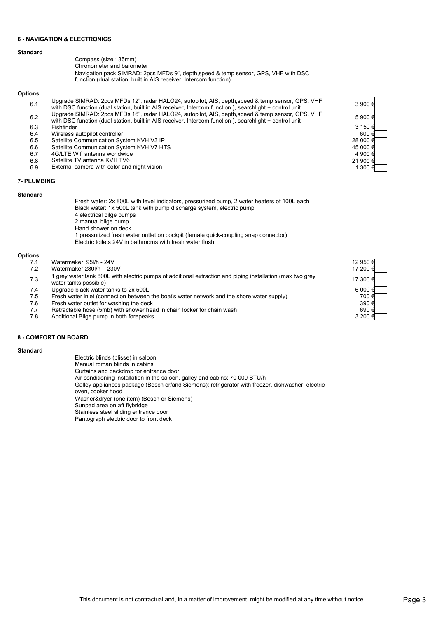### **6 - NAVIGATION & ELECTRONICS**

- Compass (size 135mm)
- Chronometer and barometer

Navigation pack SIMRAD: 2pcs MFDs 9", depth,speed & temp sensor, GPS, VHF with DSC function (dual station, built in AIS receiver, Intercom function)

# **Options**

- 6.1 Upgrade SIMRAD: 2pcs MFDs 12", radar HALO24, autopilot, AIS, depth,speed & temp sensor, GPS, VHF Upgrade SIMRAD: 2pcs MFDs 12", radar HALO24, autopilot, AIS, depth,speed & temp sensor, GPS, VHF 3 900 €<br>with DSC function (dual station, built in AIS receiver, Intercom function ), searchlight + control unit
- 6.2 Upgrade SIMRAD: 2pcs MFDs 16", radar HALO24, autopilot, AIS, depth,speed & temp sensor, GPS, VHF Opgrade SilvikAD: 2pcs MFDs 16, radar HALO24, autopliot, AIS, depth, speed & temp sensor, GPS, VHF<br>with DSC function (dual station, built in AIS receiver, Intercom function), searchlight + control unit 5 900 €
- 6.3 Fishfinder
- Wireless autopilot controller  $600 \in$
- 6.5 Satellite Communication System KVH V3 IP
- 6.6 Satellite Communication System KVH V7 HTS<br>6.7 4G/LTE Wifi antenna worldwide
- 6.7 4G/LTE Wifi antenna worldwide<br>6.8 Satellite TV antenna KVH TV6
- Satellite TV antenna KVH TV6
- 6.9 External camera with color and night vision

# **7- PLUMBING**

#### **Standard**

Fresh water: 2x 800L with level indicators, pressurized pump, 2 water heaters of 100L each Black water: 1x 500L tank with pump discharge system, electric pump 4 electrical bilge pumps 2 manual bilge pump Hand shower on deck 1 pressurized fresh water outlet on cockpit (female quick-coupling snap connector) Electric toilets 24V in bathrooms with fresh water flush

### **Options**

- 7.1 Watermaker 95l/h 24V Watermaker 280l/h - 230V 7.3 7.4 Upgrade black water tanks to 2x 500L<br>7.5 Fresh water inlet (connection between Fresh water inlet (connection between the boat's water network and the shore water supply)  $7.6$  Fresh water outlet for washing the deck 7.7 Retractable hose (5mb) with shower head in chain locker for chain wash<br>7.8 Additional Bilge pump in both forepeaks 12 950 € 17 200 € 1 grey water tank 800L with electric pumps of additional extraction and piping installation (max two grey 17 300 €<br>water tanks possible) 6 000 €
	- Additional Bilge pump in both forepeaks

# **8 - COMFORT ON BOARD**

#### **Standard**

Electric blinds (plisse) in saloon Manual roman blinds in cabins Curtains and backdrop for entrance door Air conditioning installation in the saloon, galley and cabins: 70 000 BTU/h Washer&dryer (one item) (Bosch or Siemens) Sunpad area on aft flybridge Stainless steel sliding entrance door Pantograph electric door to front deck Galley appliances package (Bosch or/and Siemens): refrigerator with freezer, dishwasher, electric oven, cooker hood

# 3 150 € 28 000 € 45 000 € 4 900 € 21 900 € 1 300 €

| 12 950 €<br>17 200 € |  |
|----------------------|--|
| 17 300 €<br>6 000 €  |  |
| 700€<br>390€         |  |
| 690€<br>3 200 €      |  |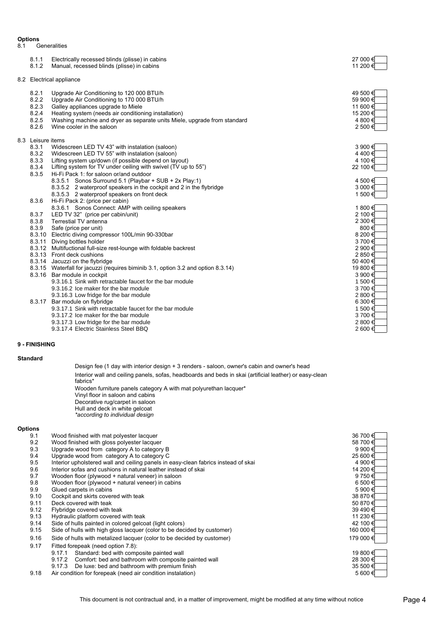# **Options**<br>8.1 G

8.1 Generalities

| 8.1.1<br>8.1.2                                                                                     | Electrically recessed blinds (plisse) in cabins<br>Manual, recessed blinds (plisse) in cabins                                                                                                                                                                                                                                                                                                                                                                                                                                                                                                                                                                                                                                                                                                                                                                                                                                                                                                                                                                                                                                                                                                                                                                                                                              | 27 000 €<br>11 200 €                                                                                                                                                                                                                                           |
|----------------------------------------------------------------------------------------------------|----------------------------------------------------------------------------------------------------------------------------------------------------------------------------------------------------------------------------------------------------------------------------------------------------------------------------------------------------------------------------------------------------------------------------------------------------------------------------------------------------------------------------------------------------------------------------------------------------------------------------------------------------------------------------------------------------------------------------------------------------------------------------------------------------------------------------------------------------------------------------------------------------------------------------------------------------------------------------------------------------------------------------------------------------------------------------------------------------------------------------------------------------------------------------------------------------------------------------------------------------------------------------------------------------------------------------|----------------------------------------------------------------------------------------------------------------------------------------------------------------------------------------------------------------------------------------------------------------|
|                                                                                                    | 8.2 Electrical appliance                                                                                                                                                                                                                                                                                                                                                                                                                                                                                                                                                                                                                                                                                                                                                                                                                                                                                                                                                                                                                                                                                                                                                                                                                                                                                                   |                                                                                                                                                                                                                                                                |
| 8.2.1<br>8.2.2<br>8.2.3<br>8.2.4<br>8.2.5<br>8.2.6                                                 | Upgrade Air Conditioning to 120 000 BTU/h<br>Upgrade Air Conditioning to 170 000 BTU/h<br>Galley appliances upgrade to Miele<br>Heating system (needs air conditioning installation)<br>Washing machine and dryer as separate units Miele, upgrade from standard<br>Wine cooler in the saloon                                                                                                                                                                                                                                                                                                                                                                                                                                                                                                                                                                                                                                                                                                                                                                                                                                                                                                                                                                                                                              | 49 500 €<br>59 900 €<br>11 600 €<br>15 200 €<br>4 800 €<br>2 500 €                                                                                                                                                                                             |
| 8.3 Leisure items<br>8.3.1<br>8.3.2<br>8.3.3<br>8.3.4<br>8.3.5<br>8.3.6<br>8.3.7<br>8.3.8<br>8.3.9 | Widescreen LED TV 43" with instalation (saloon)<br>Widescreen LED TV 55" with instalation (saloon)<br>Lifting system up/down (if possible depend on layout)<br>Lifting system for TV under ceiling with swivel (TV up to 55")<br>Hi-Fi Pack 1: for saloon or/and outdoor<br>8.3.5.1 Sonos Surround 5.1 (Playbar + SUB + 2x Play:1)<br>8.3.5.2 2 waterproof speakers in the cockpit and 2 in the flybridge<br>8.3.5.3 2 waterproof speakers on front deck<br>Hi-Fi Pack 2: (price per cabin)<br>8.3.6.1 Sonos Connect: AMP with ceiling speakers<br>LED TV 32" (price per cabin/unit)<br>Terrestial TV antenna<br>Safe (price per unit)<br>8.3.10 Electric diving compressor 100L/min 90-330bar<br>8.3.11 Diving bottles holder<br>8.3.12 Multifuctional full-size rest-lounge with foldable backrest<br>8.3.13 Front deck cushions<br>8.3.14 Jacuzzi on the flybridge<br>8.3.15 Waterfall for jacuzzi (requires biminib 3.1, option 3.2 and option 8.3.14)<br>8.3.16 Bar module in cockpit<br>9.3.16.1 Sink with retractable faucet for the bar module<br>9.3.16.2 Ice maker for the bar module<br>9.3.16.3 Low fridge for the bar module<br>8.3.17 Bar module on flybridge<br>9.3.17.1 Sink with retractable faucet for the bar module<br>9.3.17.2 Ice maker for the bar module<br>9.3.17.3 Low fridge for the bar module | 3 900 €<br>4400€<br>4 100 €<br>22 100 €<br>4 500 €<br>3 000€<br>1 500 €<br>1 800 €<br>2 100 €<br>2 300 €<br>800€<br>8 200 €<br>3700€<br>2 900 €<br>2850€<br>50 400 €<br>19 800 €<br>3 900 €<br>1500€<br>3700€<br>2 800€<br>6 300 €<br>1500€<br>3700€<br>2 800€ |
|                                                                                                    | 9.3.17.4 Electric Stainless Steel BBQ                                                                                                                                                                                                                                                                                                                                                                                                                                                                                                                                                                                                                                                                                                                                                                                                                                                                                                                                                                                                                                                                                                                                                                                                                                                                                      | 2 600€                                                                                                                                                                                                                                                         |

## **9 - FINISHING**

# **Standard**

Design fee (1 day with interior design + 3 renders - saloon, owner's cabin and owner's head Wooden furniture panels category A with mat polyurethan lacquer\* Vinyl floor in saloon and cabins Decorative rug/carpet in saloon Hull and deck in white gelcoat *\*according to individual design* Interior wall and ceiling panels, sofas, headboards and beds in skai (artificial leather) or easy-clean fabrics\*

# **Options**

| 9.1  | Wood finished with mat polyester lacquer                                           | 36 700 €  |
|------|------------------------------------------------------------------------------------|-----------|
| 9.2  | Wood finished with gloss polyester lacquer                                         | 58 700 €  |
| 9.3  | Upgrade wood from category A to category B                                         | 9 900 €   |
| 9.4  | Upgrade wood from category A to category C                                         | 25 600 €  |
| 9.5  | Interior upholstered wall and ceiling panels in easy-clean fabrics instead of skai | 4 900 €   |
| 9.6  | Interior sofas and cushions in natural leather instead of skai                     | 14 200 €  |
| 9.7  | Wooden floor (plywood + natural veneer) in saloon                                  | 9750€     |
| 9.8  | Wooden floor (plywood + natural veneer) in cabins                                  | 6 500 €   |
| 9.9  | Glued carpets in cabins                                                            | 5 900 €   |
| 9.10 | Cockpit and skirts covered with teak                                               | 38 870 €  |
| 9.11 | Deck covered with teak                                                             | 50 870 €  |
| 9.12 | Flybridge covered with teak                                                        | 39 490 €  |
| 9.13 | Hydraulic platform covered with teak                                               | 11 230 €  |
| 9.14 | Side of hulls painted in colored gelcoat (light colors)                            | 42 100 €  |
| 9.15 | Side of hulls with high gloss lacquer (color to be decided by customer)            | 160 000 € |
| 9.16 | Side of hulls with metalized lacquer (color to be decided by customer)             | 179 000 € |
| 9.17 | Fitted forepeak (need option 7.8):                                                 |           |
|      | Standard: bed with composite painted wall<br>9.17.1                                | 19 800 €  |
|      | Comfort: bed and bathroom with composite painted wall<br>9.17.2                    | 28 300 €  |
|      | De luxe: bed and bathroom with premium finish<br>9.17.3                            | 35 500 €  |
| 9.18 | Air condition for forepeak (need air condition instalation)                        | 5 600 €   |